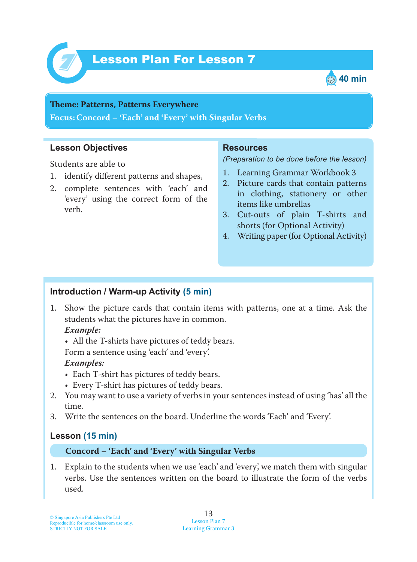



## **Teme : Patterns, Patterns Everywhere Focus: Concord – 'Each' and 'Every' with Singular Verbs**

### **Lesson Objectives**

Students are able to

- 1. identify different patterns and shapes,
- 2. complete sentences with 'each' and 'every' using the correct form of the verb.

#### **Resources**

*(Preparation to be done before the lesson)*

- 1. Learning Grammar Workbook 3
- 2. Picture cards that contain patterns in clothing, stationery or other items like umbrellas
- 3. Cut-outs of plain T-shirts and shorts (for Optional Activity)
- 4. Writing paper (for Optional Activity)

### **Introduction / Warm-up Activity (5 min)**

1 . Show the picture cards that contain items with patterns, one at a time. Ask the students what the pictures have in common.

### *Example:*

• All the T-shirts have pictures of teddy bears.

Form a sentence using 'each' and 'every'.

### *Examples:*

- Each T-shirt has pictures of teddy bears.
- Every T-shirt has pictures of teddy bears.
- 2. You may want to use a variety of verbs in your sentences instead of using 'has' all the time.
- 3. Write the sentences on the board. Underline the words 'Each' and 'Every'.

### **Lesson (15 min)**

### **Concord – 'Each' and 'Every' with Singular Verbs**

1 . Explain to the students when we use 'each' and 'every', we match them with singular verbs. Use the sentences written on the board to illustrate the form of the verbs used.